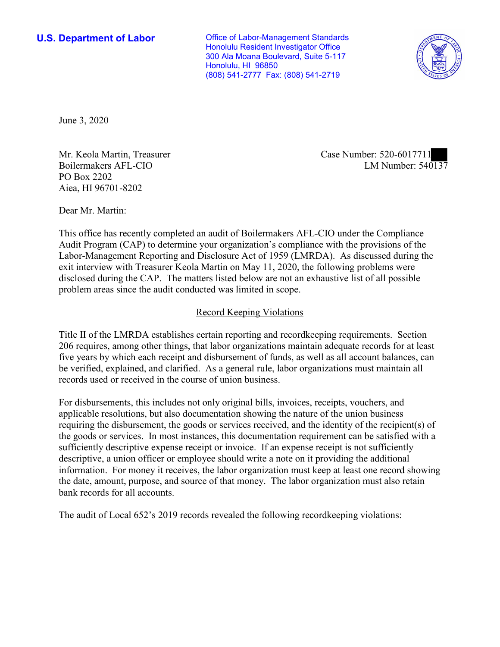(808) 541-2777 Fax: (808) 541-2719 **U.S. Department of Labor Conservative Conservative Conservative U.S. Department of Labor** Honolulu Resident Investigator Office 300 Ala Moana Boulevard, Suite 5-117 Honolulu, HI 96850



June 3, 2020

Boilermakers AFL-CIO PO Box 2202 Aiea, HI 96701-8202

LM Number:  $540\overline{137}$ Mr. Keola Martin, Treasurer Case Number: 520-6017711

Dear Mr. Martin:

 This office has recently completed an audit of Boilermakers AFL-CIO under the Compliance Audit Program (CAP) to determine your organization's compliance with the provisions of the Labor-Management Reporting and Disclosure Act of 1959 (LMRDA). As discussed during the exit interview with Treasurer Keola Martin on May 11, 2020, the following problems were disclosed during the CAP. The matters listed below are not an exhaustive list of all possible problem areas since the audit conducted was limited in scope.

# Record Keeping Violations

 Title II of the LMRDA establishes certain reporting and recordkeeping requirements. Section 206 requires, among other things, that labor organizations maintain adequate records for at least five years by which each receipt and disbursement of funds, as well as all account balances, can be verified, explained, and clarified. As a general rule, labor organizations must maintain all records used or received in the course of union business.

For disbursements, this includes not only original bills, invoices, receipts, vouchers, and applicable resolutions, but also documentation showing the nature of the union business requiring the disbursement, the goods or services received, and the identity of the recipient(s) of the goods or services. In most instances, this documentation requirement can be satisfied with a sufficiently descriptive expense receipt or invoice. If an expense receipt is not sufficiently descriptive, a union officer or employee should write a note on it providing the additional information. For money it receives, the labor organization must keep at least one record showing the date, amount, purpose, and source of that money. The labor organization must also retain bank records for all accounts.

The audit of Local 652's 2019 records revealed the following recordkeeping violations: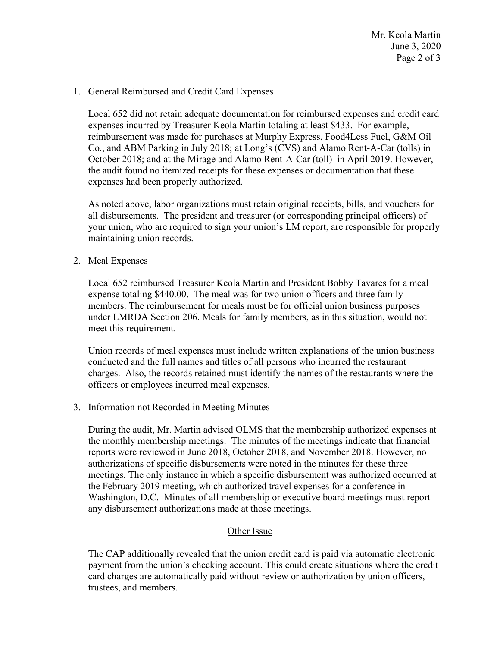Mr. Keola Martin June 3, 2020 Page 2 of 3

### 1. General Reimbursed and Credit Card Expenses

Local 652 did not retain adequate documentation for reimbursed expenses and credit card expenses incurred by Treasurer Keola Martin totaling at least \$433. For example, reimbursement was made for purchases at Murphy Express, Food4Less Fuel, G&M Oil Co., and ABM Parking in July 2018; at Long's (CVS) and Alamo Rent-A-Car (tolls) in October 2018; and at the Mirage and Alamo Rent-A-Car (toll) in April 2019. However, the audit found no itemized receipts for these expenses or documentation that these expenses had been properly authorized.

 all disbursements. The president and treasurer (or corresponding principal officers) of As noted above, labor organizations must retain original receipts, bills, and vouchers for your union, who are required to sign your union's LM report, are responsible for properly maintaining union records.

# 2. Meal Expenses

 expense totaling \$440.00. The meal was for two union officers and three family Local 652 reimbursed Treasurer Keola Martin and President Bobby Tavares for a meal members. The reimbursement for meals must be for official union business purposes under LMRDA Section 206. Meals for family members, as in this situation, would not meet this requirement.

Union records of meal expenses must include written explanations of the union business conducted and the full names and titles of all persons who incurred the restaurant charges. Also, the records retained must identify the names of the restaurants where the officers or employees incurred meal expenses.

3. Information not Recorded in Meeting Minutes

 Washington, D.C. Minutes of all membership or executive board meetings must report During the audit, Mr. Martin advised OLMS that the membership authorized expenses at the monthly membership meetings. The minutes of the meetings indicate that financial reports were reviewed in June 2018, October 2018, and November 2018. However, no authorizations of specific disbursements were noted in the minutes for these three meetings. The only instance in which a specific disbursement was authorized occurred at the February 2019 meeting, which authorized travel expenses for a conference in any disbursement authorizations made at those meetings.

# Other Issue

 payment from the union's checking account. This could create situations where the credit The CAP additionally revealed that the union credit card is paid via automatic electronic card charges are automatically paid without review or authorization by union officers, trustees, and members.